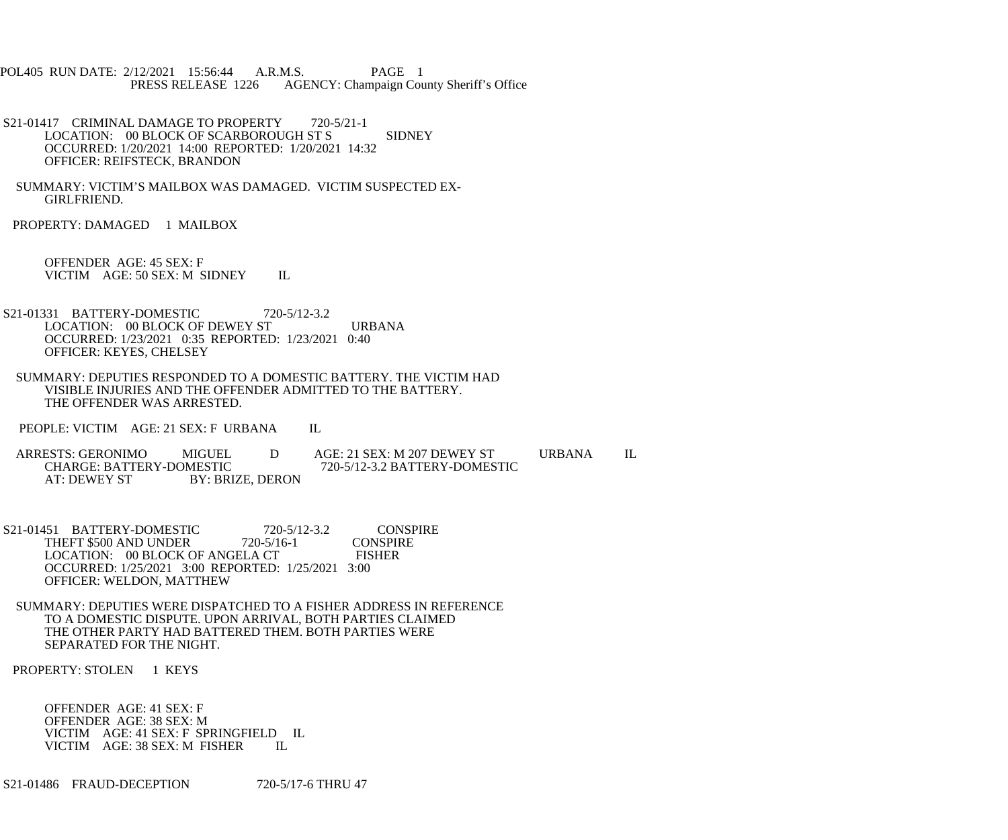POL405 RUN DATE: 2/12/2021 15:56:44 A.R.M.S. PAGE 1<br>PRESS RELEASE 1226 AGENCY: Champaign Cou AGENCY: Champaign County Sheriff's Office

- S21-01417 CRIMINAL DAMAGE TO PROPERTY 720-5/21-1 LOCATION: 00 BLOCK OF SCARBOROUGH ST S SIDNEY OCCURRED: 1/20/2021 14:00 REPORTED: 1/20/2021 14:32 OFFICER: REIFSTECK, BRANDON
- SUMMARY: VICTIM'S MAILBOX WAS DAMAGED. VICTIM SUSPECTED EX- GIRLFRIEND.

PROPERTY: DAMAGED 1 MAILBOX

 OFFENDER AGE: 45 SEX: F VICTIM AGE: 50 SEX: M SIDNEY IL

- S21-01331 BATTERY-DOMESTIC 720-5/12-3.2 LOCATION: 00 BLOCK OF DEWEY ST URBANA OCCURRED: 1/23/2021 0:35 REPORTED: 1/23/2021 0:40 OFFICER: KEYES, CHELSEY
- SUMMARY: DEPUTIES RESPONDED TO A DOMESTIC BATTERY. THE VICTIM HAD VISIBLE INJURIES AND THE OFFENDER ADMITTED TO THE BATTERY. THE OFFENDER WAS ARRESTED.

PEOPLE: VICTIM AGE: 21 SEX: F URBANA IL

ARRESTS: GERONIMO MIGUEL D AGE: 21 SEX: M 207 DEWEY ST URBANA IL CHARGE: BATTERY-DOMESTIC 720-5/12-3.2 BATTERY-DOMESTIC CHARGE: BATTERY-DOMESTIC 720-5/12-3.2 BATTERY-DOMESTIC<br>AT: DEWEY ST BY: BRIZE. DERON BY: BRIZE, DERON

S21-01451 BATTERY-DOMESTIC 720-5/12-3.2 CONSPIRE<br>THEFT \$500 AND UNDER 720-5/16-1 CONSPIRE THEFT \$500 AND UNDER 720-5/16-1 CONSPII<br>LOCATION: 00 BLOCK OF ANGELA CT FISHER LOCATION: 00 BLOCK OF ANGELA CT OCCURRED: 1/25/2021 3:00 REPORTED: 1/25/2021 3:00 OFFICER: WELDON, MATTHEW

 SUMMARY: DEPUTIES WERE DISPATCHED TO A FISHER ADDRESS IN REFERENCE TO A DOMESTIC DISPUTE. UPON ARRIVAL, BOTH PARTIES CLAIMED THE OTHER PARTY HAD BATTERED THEM. BOTH PARTIES WERE SEPARATED FOR THE NIGHT.

PROPERTY: STOLEN 1 KEYS

 OFFENDER AGE: 41 SEX: F OFFENDER AGE: 38 SEX: M VICTIM AGE: 41 SEX: F SPRINGFIELD IL<br>VICTIM AGE: 38 SEX: M FISHER IL VICTIM AGE: 38 SEX: M FISHER

S21-01486 FRAUD-DECEPTION 720-5/17-6 THRU 47